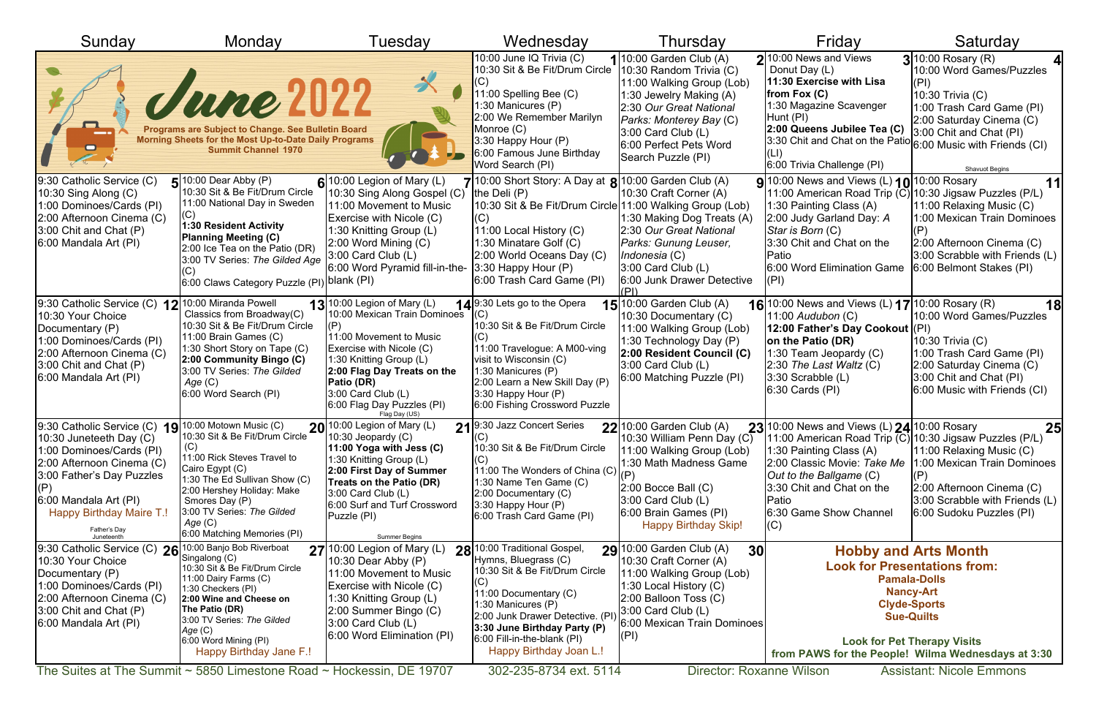| Sunday                                                                                                                                                                                                                                                             | Monday                                                                                                                                                                                                                                                                                                                    | Tuesday                                                                                                                                                                                                                                                                           | Wednesday                                                                                                                                                                                                                                                                                                        | Thursday                                                                                                                                                                                                                                      | Friday                                                                                                                                                                                                                                                                     | Saturday                                                                                                                                                                                                                                                                                 |
|--------------------------------------------------------------------------------------------------------------------------------------------------------------------------------------------------------------------------------------------------------------------|---------------------------------------------------------------------------------------------------------------------------------------------------------------------------------------------------------------------------------------------------------------------------------------------------------------------------|-----------------------------------------------------------------------------------------------------------------------------------------------------------------------------------------------------------------------------------------------------------------------------------|------------------------------------------------------------------------------------------------------------------------------------------------------------------------------------------------------------------------------------------------------------------------------------------------------------------|-----------------------------------------------------------------------------------------------------------------------------------------------------------------------------------------------------------------------------------------------|----------------------------------------------------------------------------------------------------------------------------------------------------------------------------------------------------------------------------------------------------------------------------|------------------------------------------------------------------------------------------------------------------------------------------------------------------------------------------------------------------------------------------------------------------------------------------|
|                                                                                                                                                                                                                                                                    | Wee 2022<br>Programs are Subject to Change. See Bulletin Board<br>Morning Sheets for the Most Up-to-Date Daily Programs<br><b>Summit Channel 1970</b>                                                                                                                                                                     |                                                                                                                                                                                                                                                                                   | 10:00 June IQ Trivia (C)<br>10:30 Sit & Be Fit/Drum Circle<br>11:00 Spelling Bee (C)<br>1:30 Manicures (P)<br>2:00 We Remember Marilyn<br>Monroe(C)<br>$3:30$ Happy Hour $(P)$<br>6:00 Famous June Birthday<br>Word Search (PI)                                                                                  | $1$ 10:00 Garden Club (A)<br>10:30 Random Trivia (C)<br>11:00 Walking Group (Lob)<br>1:30 Jewelry Making (A)<br>2:30 Our Great National<br>Parks: Monterey Bay (C)<br>$3:00$ Card Club (L)<br>6:00 Perfect Pets Word<br>Search Puzzle (PI)    | $2$  10:00 News and Views<br>Donut Day (L)<br>11:30 Exercise with Lisa<br>from Fox $(C)$<br>1:30 Magazine Scavenger<br>Hunt (PI)<br>2:00 Queens Jubilee Tea (C)<br>$3.30$ Chit and Chat on the Patio $ 6.00$ Music with Friends (CI)<br>6:00 Trivia Challenge (PI)         | $3$ 10:00 Rosary (R)<br>10:00 Word Games/Puzzles<br>(PI)<br>10:30 Trivia (C)<br>1:00 Trash Card Game (PI)<br>2:00 Saturday Cinema (C)<br>3:00 Chit and Chat (PI)<br><b>Shavuot Begins</b>                                                                                                |
| 9:30 Catholic Service (C)<br>10:30 Sing Along (C)<br>1:00 Dominoes/Cards (PI)<br>2:00 Afternoon Cinema (C)<br>3:00 Chit and Chat (P)<br>6:00 Mandala Art (PI)                                                                                                      | $\blacksquare$ 10:00 Dear Abby (P)<br>10:30 Sit & Be Fit/Drum Circle<br>11:00 National Day in Sweden<br>1:30 Resident Activity<br><b>Planning Meeting (C)</b><br>2:00 Ice Tea on the Patio (DR)<br>3:00 TV Series: The Gilded Age<br>6:00 Claws Category Puzzle (PI) <sup> blank</sup> (PI)                               | $6$ <sup>10:00</sup> Legion of Mary (L)<br>10:30 Sing Along Gospel (C)<br>11:00 Movement to Music<br>Exercise with Nicole (C)<br>1:30 Knitting Group (L)<br>$2:00$ Word Mining $(C)$<br>3:00 Card Club (L)<br>6:00 Word Pyramid fill-in-the-                                      | 7/10:00 Short Story: A Day at $8/10:00$ Garden Club (A)<br>the Deli $(P)$<br>10:30 Sit & Be Fit/Drum Circle 11:00 Walking Group (Lob)<br>(C)<br>11:00 Local History (C)<br>1:30 Minatare Golf (C)<br>2:00 World Oceans Day (C)<br>$3:30$ Happy Hour $(P)$<br>6:00 Trash Card Game (PI)                           | 10:30 Craft Corner (A)<br>1:30 Making Dog Treats (A)<br>2:30 Our Great National<br>Parks: Gunung Leuser,<br>Indonesia (C)<br>$ 3:00$ Card Club $(L)$<br>6:00 Junk Drawer Detective                                                            | <b>9</b> 10:00 News and Views (L) <b>10</b> 10:00 Rosary<br>11:00 American Road Trip (C) 10:30 Jigsaw Puzzles (P/L)<br>1:30 Painting Class (A)<br>2:00 Judy Garland Day: A<br>Star is Born (C)<br>3:30 Chit and Chat on the<br>Patio<br>6:00 Word Elimination Game<br>(PI) | 11<br>11:00 Relaxing Music (C)<br>1:00 Mexican Train Dominoes<br>2:00 Afternoon Cinema (C)<br>3:00 Scrabble with Friends (L)<br>6:00 Belmont Stakes (PI)                                                                                                                                 |
| 9:30 Catholic Service (C) $12$ 10:00 Miranda Powell<br>10:30 Your Choice<br>Documentary (P)<br>1:00 Dominoes/Cards (PI)<br>2:00 Afternoon Cinema (C)<br>3:00 Chit and Chat (P)<br>6:00 Mandala Art (PI)                                                            | Classics from Broadway(C)<br>10:30 Sit & Be Fit/Drum Circle<br>11:00 Brain Games (C)<br>1:30 Short Story on Tape (C)<br>2:00 Community Bingo (C)<br>3:00 TV Series: The Gilded<br>Age (C)<br>6:00 Word Search (PI)                                                                                                        | $13$ <sup>10:00</sup> Legion of Mary (L)<br>10:00 Mexican Train Dominoes<br>11:00 Movement to Music<br>Exercise with Nicole (C)<br>1:30 Knitting Group (L)<br>2:00 Flag Day Treats on the<br>Patio (DR)<br>$3:00$ Card Club (L)<br>6:00 Flag Day Puzzles (PI)<br>Flag Day (US)    | 149:30 Lets go to the Opera<br>$(\mathrm{C})$<br>10:30 Sit & Be Fit/Drum Circle<br>11:00 Travelogue: A M00-ving<br>visit to Wisconsin (C)<br>1:30 Manicures (P)<br>2:00 Learn a New Skill Day (P)<br>3:30 Happy Hour (P)<br>6:00 Fishing Crossword Puzzle                                                        | <b>15</b> 10:00 Garden Club (A)<br>10:30 Documentary (C)<br>11:00 Walking Group (Lob)<br>1:30 Technology Day (P)<br>2:00 Resident Council (C)<br>$3:00$ Card Club $(L)$<br>6:00 Matching Puzzle (PI)                                          | 16 10:00 News and Views (L) 17 10:00 Rosary (R)<br>11:00 Audubon (C)<br>12:00 Father's Day Cookout (PI)<br>on the Patio (DR)<br>1:30 Team Jeopardy (C)<br>$2:30$ The Last Waltz (C)<br>$3:30$ Scrabble $(L)$<br>$ 6:30$ Cards $(PI)$                                       | 18<br>10:00 Word Games/Puzzles<br>10:30 Trivia (C)<br>1:00 Trash Card Game (PI)<br>2:00 Saturday Cinema (C)<br>3:00 Chit and Chat (PI)<br>6:00 Music with Friends (CI)                                                                                                                   |
| 9:30 Catholic Service (C) 19 <sup>10:00</sup> Motown Music (C)<br>10:30 Juneteeth Day (C)<br>1:00 Dominoes/Cards (PI)<br>2:00 Afternoon Cinema (C)<br>3:00 Father's Day Puzzles<br>6:00 Mandala Art (PI)<br>Happy Birthday Maire T.!<br>Father's Day<br>Juneteenth | 10:30 Sit & Be Fit/Drum Circle<br>11:00 Rick Steves Travel to<br>Cairo Egypt (C)<br>1:30 The Ed Sullivan Show (C)<br>2:00 Hershey Holiday: Make<br>Smores Day (P)<br>3:00 TV Series: The Gilded<br>Age (C)<br>6:00 Matching Memories (PI)                                                                                 | $20$ <sup>10:00</sup> Legion of Mary (L)<br>$(10:30$ Jeopardy $(C)$<br>11:00 Yoga with Jess (C)<br>1:30 Knitting Group (L)<br>2:00 First Day of Summer<br>Treats on the Patio (DR)<br>$3:00$ Card Club (L)<br>6:00 Surf and Turf Crossword<br>Puzzle (PI)<br><b>Summer Begins</b> | $21$ 9:30 Jazz Concert Series<br>(C)<br>10:30 Sit & Be Fit/Drum Circle<br>11:00 The Wonders of China (C)<br>:30 Name Ten Game (C)<br>2:00 Documentary (C)<br>3:30 Happy Hour (P)<br>6:00 Trash Card Game (PI)                                                                                                    | $22$ <sup>10:00</sup> Garden Club (A)<br>10:30 William Penn Day (C)<br>11:00 Walking Group (Lob)<br>1:30 Math Madness Game<br>$(2:00$ Bocce Ball $(C)$<br>$3:00$ Card Club $(L)$<br>6:00 Brain Games (PI)<br><b>Happy Birthday Skip!</b>      | 23 10:00 News and Views (L) $24$ 10:00 Rosary<br>11:00 American Road Trip (C) 10:30 Jigsaw Puzzles (P/L)<br>1:30 Painting Class (A)<br>2:00 Classic Movie: Take Me<br>Out to the Ballgame (C)<br>3:30 Chit and Chat on the<br>Patio<br>6:30 Game Show Channel<br>(C)       | 25<br>11:00 Relaxing Music $(C)$<br>1:00 Mexican Train Dominoes<br>2:00 Afternoon Cinema (C)<br>3:00 Scrabble with Friends (L)<br>6:00 Sudoku Puzzles (PI)                                                                                                                               |
| 9:30 Catholic Service (C) $26 ^{10:00}$ Banjo Bob Riverboat<br>10:30 Your Choice<br>Documentary (P)<br>1:00 Dominoes/Cards (PI)<br>2:00 Afternoon Cinema (C)<br>3:00 Chit and Chat (P)<br>6:00 Mandala Art (PI)                                                    | Singalong (C)<br>10:30 Sit & Be Fit/Drum Circle<br>11:00 Dairy Farms (C)<br>1:30 Checkers (PI)<br>2:00 Wine and Cheese on<br>The Patio (DR)<br>3:00 TV Series: The Gilded<br>Age(C)<br>6:00 Word Mining (PI)<br>Happy Birthday Jane F.!<br>The Suites at The Summit $\sim$ 5850 Limestone Road $\sim$ Hockessin, DE 19707 | $27$ <sup>10:00</sup> Legion of Mary (L)<br>10:30 Dear Abby (P)<br>11:00 Movement to Music<br>Exercise with Nicole (C)<br>1:30 Knitting Group (L)<br>2:00 Summer Bingo (C)<br>$3:00$ Card Club (L)<br>6:00 Word Elimination (PI)                                                  | 28 <sup>10:00</sup> Traditional Gospel,<br>Hymns, Bluegrass (C)<br>10:30 Sit & Be Fit/Drum Circle<br>(C)<br>11:00 Documentary (C)<br>1:30 Manicures (P)<br>2:00 Junk Drawer Detective. (PI<br>3:30 June Birthday Party (P)<br>$6:00$ Fill-in-the-blank (PI)<br>Happy Birthday Joan L.!<br>302-235-8734 ext. 5114 | 29 10:00 Garden Club (A)<br>30<br>10:30 Craft Corner (A)<br>11:00 Walking Group (Lob)<br>1:30 Local History (C)<br>$ 2:00$ Balloon Toss $(C)$<br>3:00 Card Club (L)<br>6:00 Mexican Train Dominoes<br>(PI)<br><b>Director: Roxanne Wilson</b> |                                                                                                                                                                                                                                                                            | <b>Hobby and Arts Month</b><br><b>Look for Presentations from:</b><br><b>Pamala-Dolls</b><br><b>Nancy-Art</b><br><b>Clyde-Sports</b><br><b>Sue-Quilts</b><br><b>Look for Pet Therapy Visits</b><br>from PAWS for the People! Wilma Wednesdays at 3:30<br><b>Assistant: Nicole Emmons</b> |